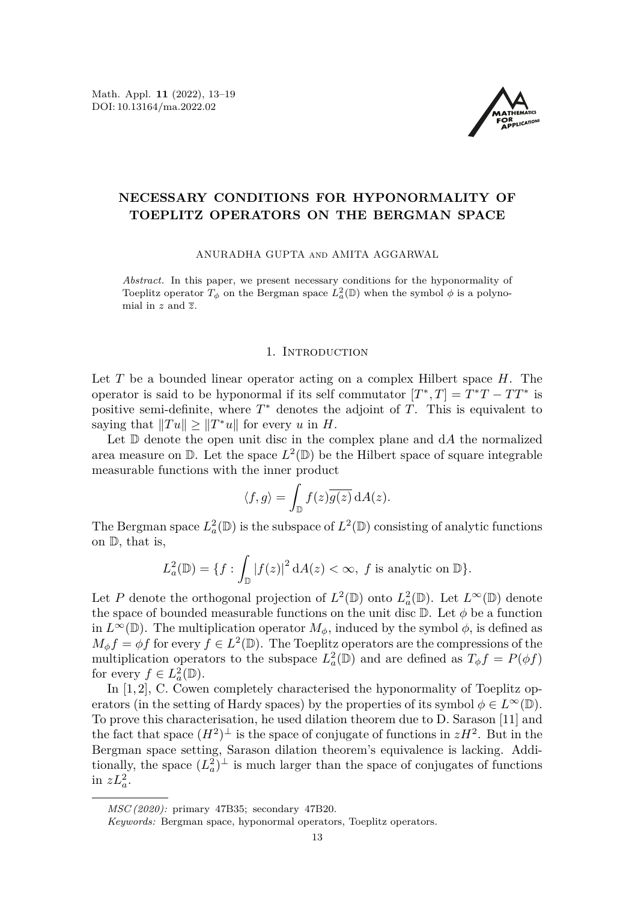Math. Appl. **11** (2022), 13[–19](#page-6-0) DOI: 10.13164/ma.2022.02



## **NECESSARY CONDITIONS FOR HYPONORMALITY OF TOEPLITZ OPERATORS ON THE BERGMAN SPACE**

ANURADHA GUPTA and AMITA AGGARWAL

*Abstract.* In this paper, we present necessary conditions for the hyponormality of Toeplitz operator  $T_{\phi}$  on the Bergman space  $L^2_a(\mathbb{D})$  when the symbol  $\phi$  is a polynomial in *z* and *z*.

## 1. INTRODUCTION

Let *T* be a bounded linear operator acting on a complex Hilbert space *H*. The operator is said to be hyponormal if its self commutator  $[T^*, T] = T^*T - TT^*$  is positive semi-definite, where *T* <sup>∗</sup> denotes the adjoint of *T*. This is equivalent to saying that  $||Tu|| \ge ||T^*u||$  for every *u* in *H*.

Let D denote the open unit disc in the complex plane and d*A* the normalized area measure on  $\mathbb D$ . Let the space  $L^2(\mathbb D)$  be the Hilbert space of square integrable measurable functions with the inner product

$$
\langle f, g \rangle = \int_{\mathbb{D}} f(z) \overline{g(z)} \, dA(z).
$$

The Bergman space  $L^2_a(\mathbb{D})$  is the subspace of  $L^2(\mathbb{D})$  consisting of analytic functions on D, that is,

$$
L_a^2(\mathbb{D}) = \{ f : \int_{\mathbb{D}} |f(z)|^2 dA(z) < \infty, \ f \text{ is analytic on } \mathbb{D} \}.
$$

Let *P* denote the orthogonal projection of  $L^2(\mathbb{D})$  onto  $L^2_a(\mathbb{D})$ . Let  $L^{\infty}(\mathbb{D})$  denote the space of bounded measurable functions on the unit disc  $\mathbb{D}$ . Let  $\phi$  be a function in  $L^{\infty}(\mathbb{D})$ . The multiplication operator  $M_{\phi}$ , induced by the symbol  $\phi$ , is defined as  $M_{\phi} f = \phi f$  for every  $f \in L^2(\mathbb{D})$ . The Toeplitz operators are the compressions of the multiplication operators to the subspace  $L^2_a(\mathbb{D})$  and are defined as  $T_\phi f = P(\phi f)$ for every  $f \in L^2_a(\mathbb{D})$ .

In [\[1,](#page-6-1) [2\]](#page-6-2), C. Cowen completely characterised the hyponormality of Toeplitz operators (in the setting of Hardy spaces) by the properties of its symbol  $\phi \in L^{\infty}(\mathbb{D})$ . To prove this characterisation, he used dilation theorem due to D. Sarason [\[11\]](#page-6-3) and the fact that space  $(H^2)^{\perp}$  is the space of conjugate of functions in  $zH^2$ . But in the Bergman space setting, Sarason dilation theorem's equivalence is lacking. Additionally, the space  $(L_a^2)^{\perp}$  is much larger than the space of conjugates of functions in  $zL_a^2$ .

*MSC (2020):* primary 47B35; secondary 47B20.

*Keywords:* Bergman space, hyponormal operators, Toeplitz operators.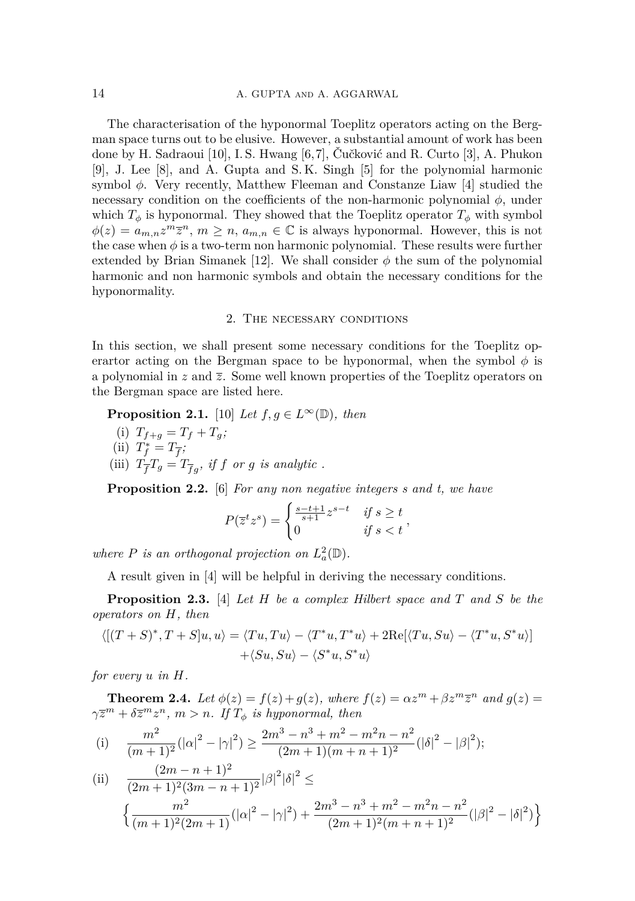The characterisation of the hyponormal Toeplitz operators acting on the Bergman space turns out to be elusive. However, a substantial amount of work has been done by H. Sadraoui [\[10\]](#page-6-4), I. S. Hwang [\[6,](#page-6-5)[7\]](#page-6-6), Čučković and R. Curto [\[3\]](#page-6-7), A. Phukon [\[9\]](#page-6-8), J. Lee [\[8\]](#page-6-9), and A. Gupta and S. K. Singh [\[5\]](#page-6-10) for the polynomial harmonic symbol *ϕ*. Very recently, Matthew Fleeman and Constanze Liaw [\[4\]](#page-6-11) studied the necessary condition on the coefficients of the non-harmonic polynomial *ϕ*, under which  $T_{\phi}$  is hyponormal. They showed that the Toeplitz operator  $T_{\phi}$  with symbol  $\phi(z) = a_{m,n} z^m \overline{z}^n$ ,  $m \geq n$ ,  $a_{m,n} \in \mathbb{C}$  is always hyponormal. However, this is not the case when  $\phi$  is a two-term non harmonic polynomial. These results were further extended by Brian Simanek [\[12\]](#page-6-12). We shall consider  $\phi$  the sum of the polynomial harmonic and non harmonic symbols and obtain the necessary conditions for the hyponormality.

## 2. The necessary conditions

In this section, we shall present some necessary conditions for the Toeplitz operartor acting on the Bergman space to be hyponormal, when the symbol  $\phi$  is a polynomial in  $z$  and  $\overline{z}$ . Some well known properties of the Toeplitz operators on the Bergman space are listed here.

**Proposition 2.1.** [\[10\]](#page-6-4) *Let*  $f, g \in L^{\infty}(\mathbb{D})$ *, then* 

(i)  $T_{f+g} = T_f + T_g$ ; (ii)  $T_f^* = T_{\overline{f}}$ ; (iii)  $T_{\overline{f}}T_g = T_{\overline{f}g}$ , if  $f$  or  $g$  is analytic.

**Proposition 2.2.** [\[6\]](#page-6-5) *For any non negative integers s and t, we have*

$$
P(\overline{z}^t z^s) = \begin{cases} \frac{s-t+1}{s+1} z^{s-t} & \text{if } s \ge t \\ 0 & \text{if } s < t \end{cases}
$$

*where P is an orthogonal projection on*  $L^2_a(\mathbb{D})$ *.* 

A result given in [\[4\]](#page-6-11) will be helpful in deriving the necessary conditions.

**Proposition 2.3.** [\[4\]](#page-6-11) *Let H be a complex Hilbert space and T and S be the operators on H, then*

$$
\langle [(T+S)^*, T+S]u, u \rangle = \langle Tu, Tu \rangle - \langle T^*u, T^*u \rangle + 2\text{Re}[\langle Tu, Su \rangle - \langle T^*u, S^*u \rangle]
$$

$$
+ \langle Su, Su \rangle - \langle S^*u, S^*u \rangle
$$

*for every u in H.*

**Theorem 2.4.** *Let*  $\phi(z) = f(z) + g(z)$ *, where*  $f(z) = \alpha z^m + \beta z^m \overline{z}^n$  *and*  $g(z) =$  $\gamma \overline{z}^m + \delta \overline{z}^m z^n$ ,  $m > n$ . If  $T_{\phi}$  *is hyponormal, then* 

(i) 
$$
\frac{m^2}{(m+1)^2} (|\alpha|^2 - |\gamma|^2) \ge \frac{2m^3 - n^3 + m^2 - m^2n - n^2}{(2m+1)(m+n+1)^2} (|\delta|^2 - |\beta|^2);
$$

(ii) 
$$
\frac{(2m-n+1)^2}{(2m+1)^2(3m-n+1)^2} |\beta|^2 |\delta|^2 \le
$$

$$
\left\{ \frac{m^2}{(m+1)^2(2m+1)} (|\alpha|^2 - |\gamma|^2) + \frac{2m^3 - n^3 + m^2 - m^2n - n^2}{(2m+1)^2(m+n+1)^2} (|\beta|^2 - |\delta|^2) \right\}
$$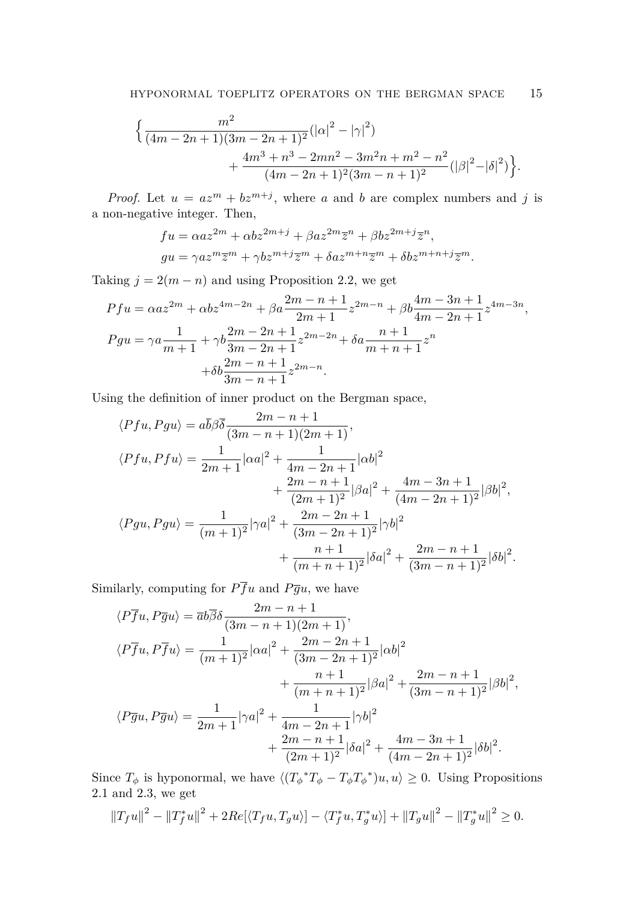$$
\begin{aligned} & \Big\{ \frac{m^2}{(4m-2n+1)(3m-2n+1)^2} (|\alpha|^2 - |\gamma|^2) \\ & + \frac{4m^3 + n^3 - 2mn^2 - 3m^2n + m^2 - n^2}{(4m-2n+1)^2 (3m-n+1)^2} (|\beta|^2 - |\delta|^2) \Big\}. \end{aligned}
$$

*Proof.* Let  $u = az^m + bz^{m+j}$ , where *a* and *b* are complex numbers and *j* is a non-negative integer. Then,

$$
fu = \alpha az^{2m} + \alpha bz^{2m+j} + \beta az^{2m}\overline{z}^n + \beta bz^{2m+j}\overline{z}^n,
$$
  
\n
$$
gu = \gamma az^m\overline{z}^m + \gamma bz^{m+j}\overline{z}^m + \delta az^{m+n}\overline{z}^m + \delta bz^{m+n+j}\overline{z}^m.
$$

Taking  $j = 2(m - n)$  and using Proposition 2.2, we get

$$
Pfu = \alpha a z^{2m} + \alpha b z^{4m-2n} + \beta a \frac{2m-n+1}{2m+1} z^{2m-n} + \beta b \frac{4m-3n+1}{4m-2n+1} z^{4m-3n},
$$
  
\n
$$
Pgu = \gamma a \frac{1}{m+1} + \gamma b \frac{2m-2n+1}{3m-2n+1} z^{2m-2n} + \delta a \frac{n+1}{m+n+1} z^n + \delta b \frac{2m-n+1}{3m-n+1} z^{2m-n}.
$$

Using the definition of inner product on the Bergman space,

$$
\langle Pfu, Pgu \rangle = a\overline{b}\beta\overline{\delta} \frac{2m - n + 1}{(3m - n + 1)(2m + 1)},
$$
  
\n
$$
\langle Pfu, Pfu \rangle = \frac{1}{2m + 1} |\alpha a|^2 + \frac{1}{4m - 2n + 1} |\alpha b|^2 + \frac{2m - n + 1}{(2m + 1)^2} |\beta a|^2 + \frac{4m - 3n + 1}{(4m - 2n + 1)^2} |\beta b|^2,
$$
  
\n
$$
\langle Pgu, Pgu \rangle = \frac{1}{(m + 1)^2} |\gamma a|^2 + \frac{2m - 2n + 1}{(3m - 2n + 1)^2} |\gamma b|^2 + \frac{n + 1}{(m + n + 1)^2} |\delta a|^2 + \frac{2m - n + 1}{(3m - n + 1)^2} |\delta b|^2
$$

*.*

Similarly, computing for  $P\overline{f}u$  and  $P\overline{g}u$ , we have

$$
\langle P\overline{f}u, P\overline{g}u\rangle = \overline{a}b\overline{\beta}\delta \frac{2m - n + 1}{(3m - n + 1)(2m + 1)},
$$
  
\n
$$
\langle P\overline{f}u, P\overline{f}u\rangle = \frac{1}{(m + 1)^2}|\alpha a|^2 + \frac{2m - 2n + 1}{(3m - 2n + 1)^2}|\alpha b|^2 + \frac{n + 1}{(m + n + 1)^2}|\beta a|^2 + \frac{2m - n + 1}{(3m - n + 1)^2}|\beta b|^2,
$$
  
\n
$$
\langle P\overline{g}u, P\overline{g}u\rangle = \frac{1}{2m + 1}|\gamma a|^2 + \frac{1}{4m - 2n + 1}|\gamma b|^2 + \frac{2m - n + 1}{(2m + 1)^2}|\delta a|^2 + \frac{4m - 3n + 1}{(4m - 2n + 1)^2}|\delta b|^2.
$$

Since  $T_{\phi}$  is hyponormal, we have  $\langle (T_{\phi}^*T_{\phi} - T_{\phi}T_{\phi}^*)u, u \rangle \geq 0$ . Using Propositions 2.1 and 2.3, we get

$$
||T_{f}u||^{2} - ||T_{f}^{*}u||^{2} + 2Re[\langle T_{f}u, T_{g}u \rangle] - \langle T_{f}^{*}u, T_{g}^{*}u \rangle] + ||T_{g}u||^{2} - ||T_{g}^{*}u||^{2} \geq 0.
$$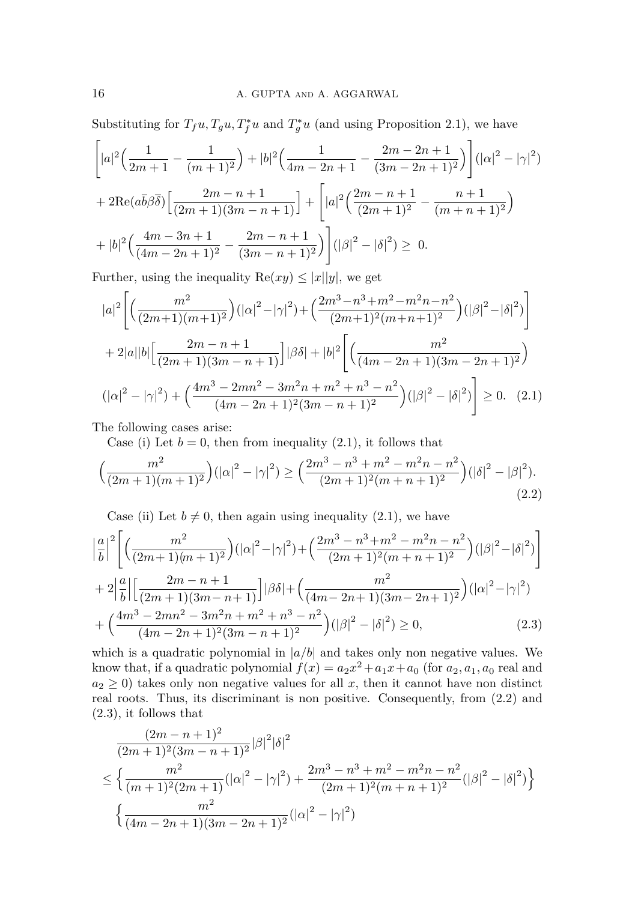Substituting for  $T_f u$ ,  $T_g u$ ,  $T_f^* u$  and  $T_g^* u$  (and using Proposition 2.1), we have

$$
\left[|a|^2\left(\frac{1}{2m+1}-\frac{1}{(m+1)^2}\right)+|b|^2\left(\frac{1}{4m-2n+1}-\frac{2m-2n+1}{(3m-2n+1)^2}\right)\right](|\alpha|^2-|\gamma|^2)
$$
  
+ 
$$
2\text{Re}(a\overline{b}\beta\overline{\delta})\left[\frac{2m-n+1}{(2m+1)(3m-n+1)}\right]+\left[|a|^2\left(\frac{2m-n+1}{(2m+1)^2}-\frac{n+1}{(m+n+1)^2}\right)\right]
$$
  
+ 
$$
|b|^2\left(\frac{4m-3n+1}{(4m-2n+1)^2}-\frac{2m-n+1}{(3m-n+1)^2}\right)\right](|\beta|^2-|\delta|^2) \geq 0.
$$

Further, using the inequality  $\text{Re}(xy) \leq |x||y|$ , we get

$$
|a|^2 \left[ \left( \frac{m^2}{(2m+1)(m+1)^2} \right) (|\alpha|^2 - |\gamma|^2) + \left( \frac{2m^3 - n^3 + m^2 - m^2 n - n^2}{(2m+1)^2 (m+n+1)^2} \right) (|\beta|^2 - |\delta|^2) \right]
$$
  
+ 2|a||b| \left[ \frac{2m - n + 1}{(2m+1)(3m - n + 1)} \right] |\beta \delta| + |b|^2 \left[ \left( \frac{m^2}{(4m - 2n + 1)(3m - 2n + 1)^2} \right)   
(|\alpha|^2 - |\gamma|^2) + \left( \frac{4m^3 - 2mn^2 - 3m^2 n + m^2 + n^3 - n^2}{(4m - 2n + 1)^2 (3m - n + 1)^2} \right) (|\beta|^2 - |\delta|^2) \right] \ge 0. (2.1)

The following cases arise:

<span id="page-3-0"></span>Case (i) Let  $b = 0$ , then from inequality  $(2.1)$ , it follows that

$$
\left(\frac{m^2}{(2m+1)(m+1)^2}\right) \left(|\alpha|^2 - |\gamma|^2\right) \ge \left(\frac{2m^3 - n^3 + m^2 - m^2n - n^2}{(2m+1)^2(m+n+1)^2}\right) \left(|\delta|^2 - |\beta|^2\right).
$$
\n(2.2)

<span id="page-3-2"></span><span id="page-3-1"></span>Case (ii) Let  $b \neq 0$ , then again using inequality [\(2.1\)](#page-3-0), we have

$$
\left| \frac{a}{b} \right|^2 \left[ \left( \frac{m^2}{(2m+1)(m+1)^2} \right) (|\alpha|^2 - |\gamma|^2) + \left( \frac{2m^3 - n^3 + m^2 - m^2 n - n^2}{(2m+1)^2 (m+n+1)^2} \right) (|\beta|^2 - |\delta|^2) \right]
$$
  
+ 
$$
2 \left| \frac{a}{b} \right| \left[ \frac{2m - n + 1}{(2m+1)(3m-n+1)} \right] |\beta \delta| + \left( \frac{m^2}{(4m-2n+1)(3m-2n+1)^2} \right) (|\alpha|^2 - |\gamma|^2)
$$
  
+ 
$$
\left( \frac{4m^3 - 2mn^2 - 3m^2 n + m^2 + n^3 - n^2}{(4m-2n+1)^2 (3m-n+1)^2} \right) (|\beta|^2 - |\delta|^2) \ge 0, \tag{2.3}
$$

which is a quadratic polynomial in  $|a/b|$  and takes only non negative values. We know that, if a quadratic polynomial  $f(x) = a_2x^2 + a_1x + a_0$  (for  $a_2, a_1, a_0$  real and  $a_2 \geq 0$ ) takes only non negative values for all *x*, then it cannot have non distinct real roots. Thus, its discriminant is non positive. Consequently, from [\(2.2\)](#page-3-1) and [\(2.3\)](#page-3-2), it follows that

$$
\frac{(2m-n+1)^2}{(2m+1)^2(3m-n+1)^2} |\beta|^2 |\delta|^2
$$
  
\n
$$
\leq \left\{ \frac{m^2}{(m+1)^2(2m+1)} (|\alpha|^2 - |\gamma|^2) + \frac{2m^3 - n^3 + m^2 - m^2n - n^2}{(2m+1)^2(m+n+1)^2} (|\beta|^2 - |\delta|^2) \right\}
$$
  
\n
$$
\left\{ \frac{m^2}{(4m-2n+1)(3m-2n+1)^2} (|\alpha|^2 - |\gamma|^2) \right\}
$$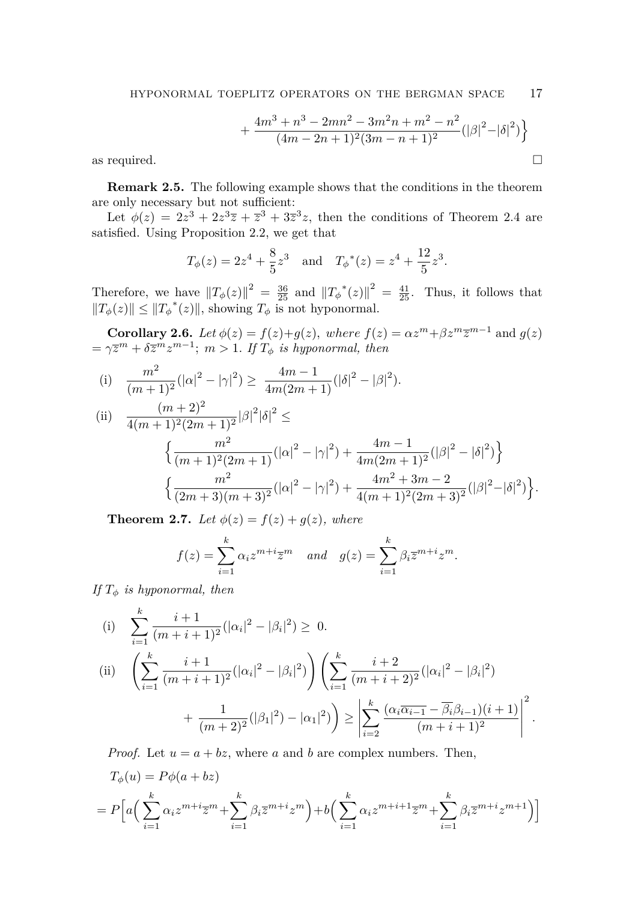$$
+\frac{4m^3+n^3-2mn^2-3m^2n+m^2-n^2}{(4m-2n+1)^2(3m-n+1)^2}(|\beta|^2-|\delta|^2)\bigg\}
$$
 as required.

**Remark 2.5.** The following example shows that the conditions in the theorem are only necessary but not sufficient:

Let  $\phi(z) = 2z^3 + 2z^3\overline{z} + \overline{z}^3 + 3\overline{z}^3z$ , then the conditions of Theorem 2.4 are satisfied. Using Proposition 2.2, we get that

$$
T_{\phi}(z) = 2z^4 + \frac{8}{5}z^3
$$
 and  $T_{\phi}^*(z) = z^4 + \frac{12}{5}z^3$ .

Therefore, we have  $||T_{\phi}(z)||^2 = \frac{36}{25}$  and  $||T_{\phi}^*(z)||^2 = \frac{41}{25}$ . Thus, it follows that  $||T_{\phi}(z)||$  ≤  $||T_{\phi}^{*}(z)||$ , showing  $T_{\phi}$  is not hyponormal.

**Corollary 2.6.** *Let*  $\phi(z) = f(z) + g(z)$ *, where*  $f(z) = \alpha z^m + \beta z^m \overline{z}^{m-1}$  and  $g(z)$  $= \gamma \overline{z}^m + \delta \overline{z}^m z^{m-1}; \ m > 1$ . If  $T_{\phi}$  is hyponormal, then

(i) 
$$
\frac{m^2}{(m+1)^2} (|\alpha|^2 - |\gamma|^2) \ge \frac{4m-1}{4m(2m+1)} (|\delta|^2 - |\beta|^2).
$$

(ii) 
$$
\frac{(m+2)^2}{4(m+1)^2(2m+1)^2} |\beta|^2 |\delta|^2 \le
$$

$$
\left\{ \frac{m^2}{(m+1)^2(2m+1)} (|\alpha|^2 - |\gamma|^2) + \frac{4m-1}{4m(2m+1)^2} (|\beta|^2 - |\delta|^2) \right\}
$$

$$
\left\{ \frac{m^2}{(2m+3)(m+3)^2} (|\alpha|^2 - |\gamma|^2) + \frac{4m^2 + 3m - 2}{4(m+1)^2(2m+3)^2} (|\beta|^2 - |\delta|^2) \right\}.
$$

**Theorem 2.7.** *Let*  $\phi(z) = f(z) + g(z)$ *, where* 

$$
f(z) = \sum_{i=1}^{k} \alpha_i z^{m+i} \overline{z}^m \quad and \quad g(z) = \sum_{i=1}^{k} \beta_i \overline{z}^{m+i} z^m.
$$

*If*  $T_{\phi}$  *is hyponormal, then* 

(i) 
$$
\sum_{i=1}^{k} \frac{i+1}{(m+i+1)^2} (|\alpha_i|^2 - |\beta_i|^2) \ge 0.
$$
  
\n(ii) 
$$
\left(\sum_{i=1}^{k} \frac{i+1}{(m+i+1)^2} (|\alpha_i|^2 - |\beta_i|^2) \right) \left(\sum_{i=1}^{k} \frac{i+2}{(m+i+2)^2} (|\alpha_i|^2 - |\beta_i|^2) + \frac{1}{(m+2)^2} (|\beta_1|^2 - |\alpha_1|^2) \right) \ge \left| \sum_{i=2}^{k} \frac{(\alpha_i \overline{\alpha_{i-1}} - \overline{\beta_i} \beta_{i-1}) (i+1)}{(m+i+1)^2} \right|^2.
$$

*Proof.* Let  $u = a + bz$ , where *a* and *b* are complex numbers. Then,

$$
T_{\phi}(u) = P\phi(a+bz)
$$
  
=  $P\left[a\left(\sum_{i=1}^{k} \alpha_i z^{m+i} \overline{z}^m + \sum_{i=1}^{k} \beta_i \overline{z}^{m+i} z^m\right) + b\left(\sum_{i=1}^{k} \alpha_i z^{m+i+1} \overline{z}^m + \sum_{i=1}^{k} \beta_i \overline{z}^{m+i} z^{m+1}\right)\right]$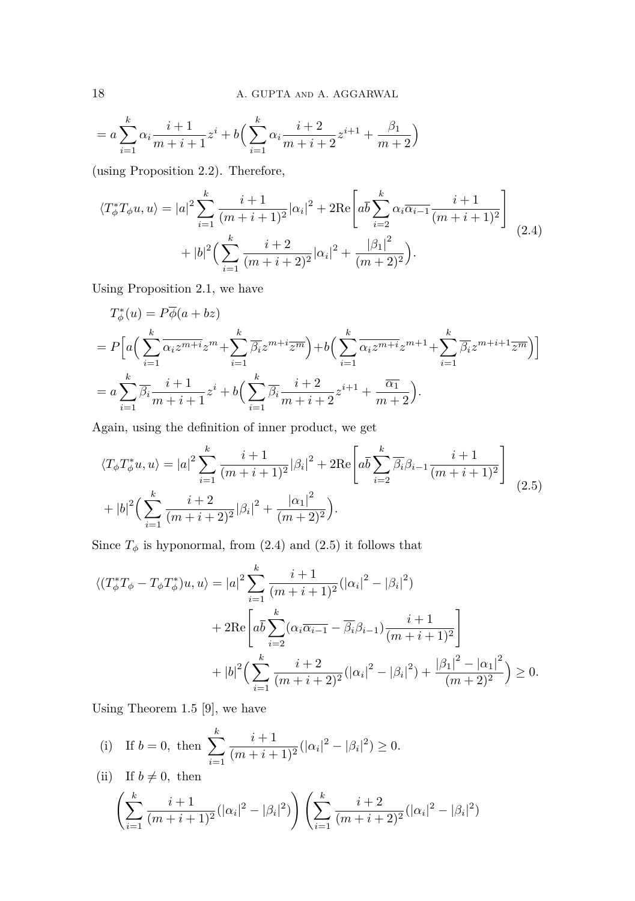$$
= a \sum_{i=1}^{k} \alpha_i \frac{i+1}{m+i+1} z^i + b \left( \sum_{i=1}^{k} \alpha_i \frac{i+2}{m+i+2} z^{i+1} + \frac{\beta_1}{m+2} \right)
$$

(using Proposition 2.2). Therefore,

<span id="page-5-0"></span>
$$
\langle T_{\phi}^{*} T_{\phi} u, u \rangle = |a|^{2} \sum_{i=1}^{k} \frac{i+1}{(m+i+1)^{2}} |\alpha_{i}|^{2} + 2 \text{Re} \left[ a \overline{b} \sum_{i=2}^{k} \alpha_{i} \overline{\alpha_{i-1}} \frac{i+1}{(m+i+1)^{2}} \right] + |b|^{2} \Big( \sum_{i=1}^{k} \frac{i+2}{(m+i+2)^{2}} |\alpha_{i}|^{2} + \frac{|\beta_{1}|^{2}}{(m+2)^{2}} \Big).
$$
\n(2.4)

Using Proposition 2.1, we have

$$
T_{\phi}^{*}(u) = P\overline{\phi}(a+bz)
$$
  
= 
$$
P\Big[a\Big(\sum_{i=1}^{k} \overline{\alpha_{i}z^{m+i}}z^{m} + \sum_{i=1}^{k} \overline{\beta_{i}}z^{m+i}\overline{z^{m}}\Big) + b\Big(\sum_{i=1}^{k} \overline{\alpha_{i}z^{m+i}}z^{m+1} + \sum_{i=1}^{k} \overline{\beta_{i}}z^{m+i+1}\overline{z^{m}}\Big)\Big]
$$
  
= 
$$
a\sum_{i=1}^{k} \overline{\beta_{i}}\frac{i+1}{m+i+1}z^{i} + b\Big(\sum_{i=1}^{k} \overline{\beta_{i}}\frac{i+2}{m+i+2}z^{i+1} + \frac{\overline{\alpha_{1}}}{m+2}\Big).
$$

Again, using the definition of inner product, we get

<span id="page-5-1"></span>
$$
\langle T_{\phi} T_{\phi}^* u, u \rangle = |a|^2 \sum_{i=1}^k \frac{i+1}{(m+i+1)^2} |\beta_i|^2 + 2 \text{Re} \left[ a \overline{b} \sum_{i=2}^k \overline{\beta_i} \beta_{i-1} \frac{i+1}{(m+i+1)^2} \right] + |b|^2 \Big( \sum_{i=1}^k \frac{i+2}{(m+i+2)^2} |\beta_i|^2 + \frac{|\alpha_1|^2}{(m+2)^2} \Big).
$$
 (2.5)

Since  $T_{\phi}$  is hyponormal, from [\(2.4\)](#page-5-0) and [\(2.5\)](#page-5-1) it follows that

$$
\langle (T_{\phi}^{*}T_{\phi} - T_{\phi}T_{\phi}^{*})u, u \rangle = |a|^{2} \sum_{i=1}^{k} \frac{i+1}{(m+i+1)^{2}} (|\alpha_{i}|^{2} - |\beta_{i}|^{2})
$$
  
+ 
$$
2 \text{Re} \left[ a\overline{b} \sum_{i=2}^{k} (\alpha_{i} \overline{\alpha_{i-1}} - \overline{\beta_{i}} \beta_{i-1}) \frac{i+1}{(m+i+1)^{2}} \right]
$$
  
+ 
$$
|b|^{2} \Big( \sum_{i=1}^{k} \frac{i+2}{(m+i+2)^{2}} (|\alpha_{i}|^{2} - |\beta_{i}|^{2}) + \frac{|\beta_{1}|^{2} - |\alpha_{1}|^{2}}{(m+2)^{2}} \Big) \ge 0.
$$

Using Theorem 1.5 [\[9\]](#page-6-8), we have

(i) If 
$$
b = 0
$$
, then 
$$
\sum_{i=1}^{k} \frac{i+1}{(m+i+1)^2} (|\alpha_i|^2 - |\beta_i|^2) \ge 0.
$$
  
(ii) If  $b \neq 0$ , then

$$
\left(\sum_{i=1}^k \frac{i+1}{(m+i+1)^2}(|\alpha_i|^2 - |\beta_i|^2)\right) \left(\sum_{i=1}^k \frac{i+2}{(m+i+2)^2}(|\alpha_i|^2 - |\beta_i|^2)\right)
$$